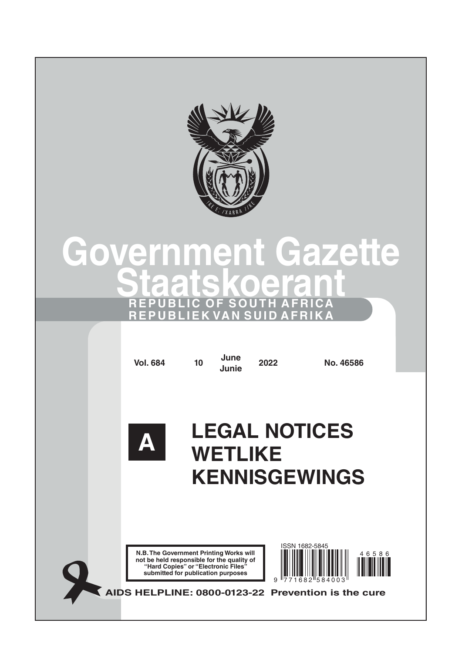

# **Government Gazette Staatskoerant REPUBLIC OF SOUTH AFRICA REPUBLIEK VAN SUID AFRIKA**



**N.B. The Government Printing Works will not be held responsible for the quality of "Hard Copies" or "Electronic Files" submitted for publication purposes**



**AIDS HELPLINE: 0800-0123-22 Prevention is the cure**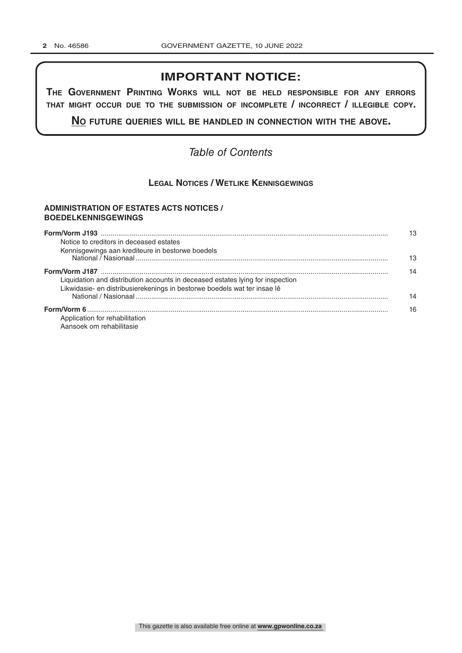### **IMPORTANT NOTICE:**

**The GovernmenT PrinTinG Works Will noT be held resPonsible for any errors ThaT miGhT occur due To The submission of incomPleTe / incorrecT / illeGible coPy.**

**no fuTure queries Will be handled in connecTion WiTh The above.**

### *Table of Contents*

### **Legal Notices / Wetlike Kennisgewings**

#### **ADMINISTRATION OF ESTATES ACTS NOTICES / BOEDELKENNISGEWINGS**

| Notice to creditors in deceased estates                                        |    |
|--------------------------------------------------------------------------------|----|
| Kennisgewings aan krediteure in bestorwe boedels                               |    |
|                                                                                | 13 |
|                                                                                | 14 |
| Liquidation and distribution accounts in deceased estates lying for inspection |    |
| Likwidasie- en distribusierekenings in bestorwe boedels wat ter insae lê       |    |
|                                                                                | 14 |
|                                                                                | 16 |
| Application for rehabilitation                                                 |    |
| Aansoek om rehabilitasie                                                       |    |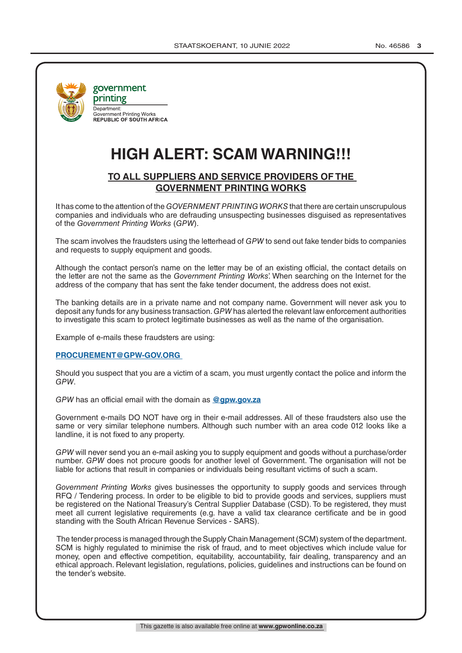

government printing Department:<br>Government Printing Works **REPUBLIC OF SOUTH AFRICA** 

# **HIGH ALERT: SCAM WARNING!!!**

### **TO ALL SUPPLIERS AND SERVICE PROVIDERS OF THE GOVERNMENT PRINTING WORKS**

It has come to the attention of the *GOVERNMENT PRINTING WORKS* that there are certain unscrupulous companies and individuals who are defrauding unsuspecting businesses disguised as representatives of the *Government Printing Works* (*GPW*).

The scam involves the fraudsters using the letterhead of *GPW* to send out fake tender bids to companies and requests to supply equipment and goods.

Although the contact person's name on the letter may be of an existing official, the contact details on the letter are not the same as the *Government Printing Works*'. When searching on the Internet for the address of the company that has sent the fake tender document, the address does not exist.

The banking details are in a private name and not company name. Government will never ask you to deposit any funds for any business transaction. *GPW* has alerted the relevant law enforcement authorities to investigate this scam to protect legitimate businesses as well as the name of the organisation.

Example of e-mails these fraudsters are using:

#### **PROCUREMENT@GPW-GOV.ORG**

Should you suspect that you are a victim of a scam, you must urgently contact the police and inform the *GPW*.

*GPW* has an official email with the domain as **@gpw.gov.za**

Government e-mails DO NOT have org in their e-mail addresses. All of these fraudsters also use the same or very similar telephone numbers. Although such number with an area code 012 looks like a landline, it is not fixed to any property.

*GPW* will never send you an e-mail asking you to supply equipment and goods without a purchase/order number. *GPW* does not procure goods for another level of Government. The organisation will not be liable for actions that result in companies or individuals being resultant victims of such a scam.

*Government Printing Works* gives businesses the opportunity to supply goods and services through RFQ / Tendering process. In order to be eligible to bid to provide goods and services, suppliers must be registered on the National Treasury's Central Supplier Database (CSD). To be registered, they must meet all current legislative requirements (e.g. have a valid tax clearance certificate and be in good standing with the South African Revenue Services - SARS).

 The tender process is managed through the Supply Chain Management (SCM) system of the department. SCM is highly regulated to minimise the risk of fraud, and to meet objectives which include value for money, open and effective competition, equitability, accountability, fair dealing, transparency and an ethical approach. Relevant legislation, regulations, policies, guidelines and instructions can be found on the tender's website.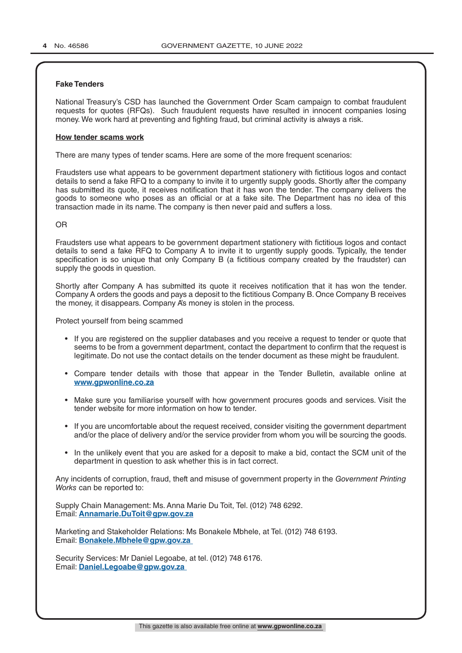#### **Fake Tenders**

National Treasury's CSD has launched the Government Order Scam campaign to combat fraudulent requests for quotes (RFQs). Such fraudulent requests have resulted in innocent companies losing money. We work hard at preventing and fighting fraud, but criminal activity is always a risk.

#### **How tender scams work**

There are many types of tender scams. Here are some of the more frequent scenarios:

Fraudsters use what appears to be government department stationery with fictitious logos and contact details to send a fake RFQ to a company to invite it to urgently supply goods. Shortly after the company has submitted its quote, it receives notification that it has won the tender. The company delivers the goods to someone who poses as an official or at a fake site. The Department has no idea of this transaction made in its name. The company is then never paid and suffers a loss.

#### OR

Fraudsters use what appears to be government department stationery with fictitious logos and contact details to send a fake RFQ to Company A to invite it to urgently supply goods. Typically, the tender specification is so unique that only Company B (a fictitious company created by the fraudster) can supply the goods in question.

Shortly after Company A has submitted its quote it receives notification that it has won the tender. Company A orders the goods and pays a deposit to the fictitious Company B. Once Company B receives the money, it disappears. Company A's money is stolen in the process.

Protect yourself from being scammed

- If you are registered on the supplier databases and you receive a request to tender or quote that seems to be from a government department, contact the department to confirm that the request is legitimate. Do not use the contact details on the tender document as these might be fraudulent.
- Compare tender details with those that appear in the Tender Bulletin, available online at **www.gpwonline.co.za**
- Make sure you familiarise yourself with how government procures goods and services. Visit the tender website for more information on how to tender.
- If you are uncomfortable about the request received, consider visiting the government department and/or the place of delivery and/or the service provider from whom you will be sourcing the goods.
- In the unlikely event that you are asked for a deposit to make a bid, contact the SCM unit of the department in question to ask whether this is in fact correct.

Any incidents of corruption, fraud, theft and misuse of government property in the *Government Printing Works* can be reported to:

Supply Chain Management: Ms. Anna Marie Du Toit, Tel. (012) 748 6292. Email: **Annamarie.DuToit@gpw.gov.za**

Marketing and Stakeholder Relations: Ms Bonakele Mbhele, at Tel. (012) 748 6193. Email: **Bonakele.Mbhele@gpw.gov.za** 

Security Services: Mr Daniel Legoabe, at tel. (012) 748 6176. Email: **Daniel.Legoabe@gpw.gov.za**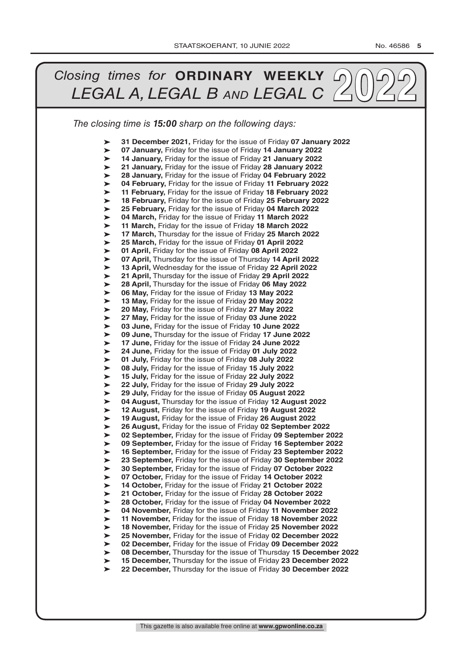#### *The closing time is 15:00 sharp on the following days: Closing times for* **<b>ORDINARY WEEKLY** 20022 ➤ ➤ ➤ ➤ ➤ ➤ ➤ ➤ ➤ ➤ ➤ ➤ ➤ ➤ ➤ ➤ ➤ ➤ ➤ ➤ ➤ ➤ ➤ ➤ ➤ ➤ ➤ ➤ ➤ ➤ ➤ ➤ ➤ ➤ ➤ ➤ ➤ ➤ ➤ ➤ ➤ ➤ ➤ ➤ ➤ ➤ ➤ ➤ ➤ ➤ ➤ ➤ **31 December 2021,** Friday for the issue of Friday **07 January 2022 07 January,** Friday for the issue of Friday **14 January 2022 14 January,** Friday for the issue of Friday **21 January 2022 21 January,** Friday for the issue of Friday **28 January 2022 28 January,** Friday for the issue of Friday **04 February 2022 04 February,** Friday for the issue of Friday **11 February 2022 11 February,** Friday for the issue of Friday **18 February 2022 18 February,** Friday for the issue of Friday **25 February 2022 25 February,** Friday for the issue of Friday **04 March 2022 04 March,** Friday for the issue of Friday **11 March 2022 11 March,** Friday for the issue of Friday **18 March 2022 17 March,** Thursday for the issue of Friday **25 March 2022 25 March,** Friday for the issue of Friday **01 April 2022 01 April,** Friday for the issue of Friday **08 April 2022 07 April,** Thursday for the issue of Thursday **14 April 2022 13 April,** Wednesday for the issue of Friday **22 April 2022 21 April,** Thursday for the issue of Friday **29 April 2022 28 April,** Thursday for the issue of Friday **06 May 2022 06 May,** Friday for the issue of Friday **13 May 2022 13 May,** Friday for the issue of Friday **20 May 2022 20 May,** Friday for the issue of Friday **27 May 2022 27 May,** Friday for the issue of Friday **03 June 2022 03 June,** Friday for the issue of Friday **10 June 2022 09 June,** Thursday for the issue of Friday **17 June 2022 17 June,** Friday for the issue of Friday **24 June 2022 24 June,** Friday for the issue of Friday **01 July 2022 01 July,** Friday for the issue of Friday **08 July 2022 08 July,** Friday for the issue of Friday **15 July 2022 15 July,** Friday for the issue of Friday **22 July 2022 22 July,** Friday for the issue of Friday **29 July 2022 29 July,** Friday for the issue of Friday **05 August 2022 04 August,** Thursday for the issue of Friday **12 August 2022 12 August,** Friday for the issue of Friday **19 August 2022 19 August,** Friday for the issue of Friday **26 August 2022 26 August,** Friday for the issue of Friday **02 September 2022 02 September,** Friday for the issue of Friday **09 September 2022 09 September,** Friday for the issue of Friday **16 September 2022 16 September,** Friday for the issue of Friday **23 September 2022 23 September,** Friday for the issue of Friday **30 September 2022 30 September,** Friday for the issue of Friday **07 October 2022 07 October,** Friday for the issue of Friday **14 October 2022 14 October,** Friday for the issue of Friday **21 October 2022 21 October,** Friday for the issue of Friday **28 October 2022 28 October,** Friday for the issue of Friday **04 November 2022 04 November,** Friday for the issue of Friday **11 November 2022 11 November,** Friday for the issue of Friday **18 November 2022 18 November,** Friday for the issue of Friday **25 November 2022 25 November,** Friday for the issue of Friday **02 December 2022 02 December,** Friday for the issue of Friday **09 December 2022 08 December,** Thursday for the issue of Thursday **15 December 2022 15 December,** Thursday for the issue of Friday **23 December 2022 22 December,** Thursday for the issue of Friday **30 December 2022**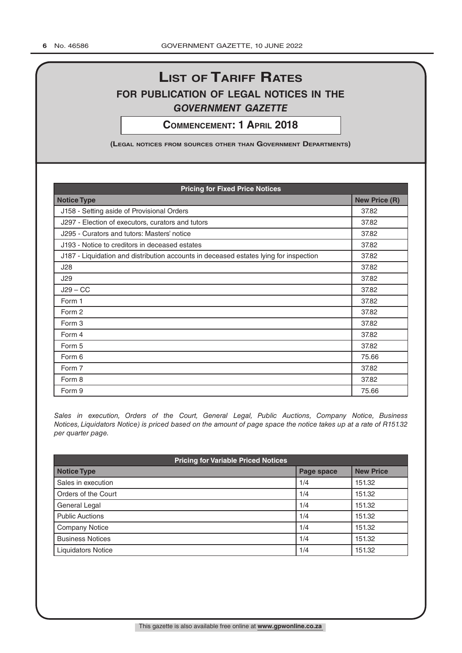## **List of tariff rates for pubLication of LegaL notices in the** *government gazette*

**commencement: 1 apriL 2018**

**(LegaL notices from sources other than government Departments)**

| <b>Pricing for Fixed Price Notices</b>                                                |       |  |  |
|---------------------------------------------------------------------------------------|-------|--|--|
| <b>Notice Type</b>                                                                    |       |  |  |
| J158 - Setting aside of Provisional Orders                                            | 37.82 |  |  |
| J297 - Election of executors, curators and tutors                                     | 37.82 |  |  |
| J295 - Curators and tutors: Masters' notice                                           | 37.82 |  |  |
| J193 - Notice to creditors in deceased estates                                        | 37.82 |  |  |
| J187 - Liquidation and distribution accounts in deceased estates lying for inspection | 37.82 |  |  |
| J28                                                                                   | 37.82 |  |  |
| J29                                                                                   | 37.82 |  |  |
| $J29 - CC$                                                                            | 37.82 |  |  |
| Form 1                                                                                | 37.82 |  |  |
| Form 2                                                                                | 37.82 |  |  |
| Form 3                                                                                | 37.82 |  |  |
| Form 4                                                                                | 37.82 |  |  |
| Form 5                                                                                | 37.82 |  |  |
| Form 6                                                                                | 75.66 |  |  |
| Form 7                                                                                | 37.82 |  |  |
| Form 8                                                                                | 37.82 |  |  |
| Form 9                                                                                | 75.66 |  |  |

*Sales in execution, Orders of the Court, General Legal, Public Auctions, Company Notice, Business Notices, Liquidators Notice) is priced based on the amount of page space the notice takes up at a rate of R151.32 per quarter page.*

| <b>Pricing for Variable Priced Notices</b> |            |                  |  |
|--------------------------------------------|------------|------------------|--|
| <b>Notice Type</b>                         | Page space | <b>New Price</b> |  |
| Sales in execution                         | 1/4        | 151.32           |  |
| Orders of the Court                        | 1/4        | 151.32           |  |
| General Legal                              | 1/4        | 151.32           |  |
| <b>Public Auctions</b>                     | 1/4        | 151.32           |  |
| <b>Company Notice</b>                      | 1/4        | 151.32           |  |
| <b>Business Notices</b>                    | 1/4        | 151.32           |  |
| <b>Liquidators Notice</b>                  | 1/4        | 151.32           |  |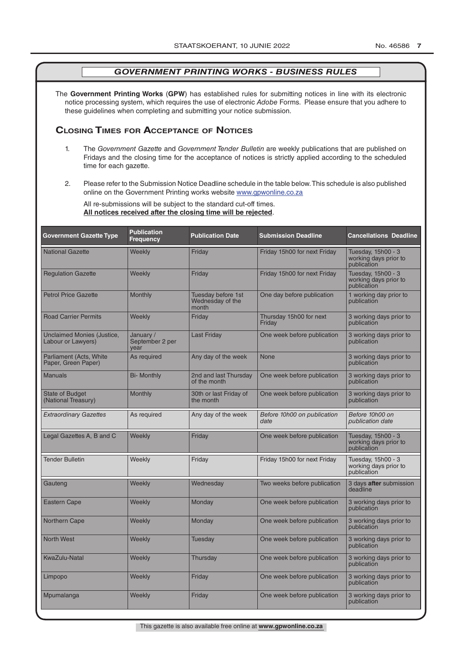The **Government Printing Works** (**GPW**) has established rules for submitting notices in line with its electronic notice processing system, which requires the use of electronic *Adobe* Forms. Please ensure that you adhere to these guidelines when completing and submitting your notice submission.

#### **Closing Times for ACCepTAnCe of noTiCes**

- 1. The *Government Gazette* and *Government Tender Bulletin* are weekly publications that are published on Fridays and the closing time for the acceptance of notices is strictly applied according to the scheduled time for each gazette.
- 2. Please refer to the Submission Notice Deadline schedule in the table below. This schedule is also published online on the Government Printing works website www.gpwonline.co.za

All re-submissions will be subject to the standard cut-off times. **All notices received after the closing time will be rejected**.

| <b>Government Gazette Type</b>                   | <b>Publication</b><br><b>Frequency</b> | <b>Publication Date</b>                         | <b>Submission Deadline</b>          | <b>Cancellations Deadline</b>                              |
|--------------------------------------------------|----------------------------------------|-------------------------------------------------|-------------------------------------|------------------------------------------------------------|
| <b>National Gazette</b>                          | Weekly                                 | Friday                                          | Friday 15h00 for next Friday        | Tuesday, 15h00 - 3<br>working days prior to<br>publication |
| <b>Regulation Gazette</b>                        | Weekly                                 | Friday                                          | Friday 15h00 for next Friday        | Tuesday, 15h00 - 3<br>working days prior to<br>publication |
| <b>Petrol Price Gazette</b>                      | Monthly                                | Tuesday before 1st<br>Wednesday of the<br>month | One day before publication          | 1 working day prior to<br>publication                      |
| <b>Road Carrier Permits</b>                      | Weekly                                 | Friday                                          | Thursday 15h00 for next<br>Friday   | 3 working days prior to<br>publication                     |
| Unclaimed Monies (Justice,<br>Labour or Lawyers) | January /<br>September 2 per<br>vear   | <b>Last Friday</b>                              | One week before publication         | 3 working days prior to<br>publication                     |
| Parliament (Acts, White<br>Paper, Green Paper)   | As required                            | Any day of the week                             | None                                | 3 working days prior to<br>publication                     |
| <b>Manuals</b>                                   | <b>Bi- Monthly</b>                     | 2nd and last Thursday<br>of the month           | One week before publication         | 3 working days prior to<br>publication                     |
| <b>State of Budget</b><br>(National Treasury)    | <b>Monthly</b>                         | 30th or last Friday of<br>the month             | One week before publication         | 3 working days prior to<br>publication                     |
| <b>Extraordinary Gazettes</b>                    | As required                            | Any day of the week                             | Before 10h00 on publication<br>date | Before 10h00 on<br>publication date                        |
| Legal Gazettes A, B and C                        | Weekly                                 | Friday                                          | One week before publication         | Tuesday, 15h00 - 3<br>working days prior to<br>publication |
| <b>Tender Bulletin</b>                           | Weekly                                 | Friday                                          | Friday 15h00 for next Friday        | Tuesday, 15h00 - 3<br>working days prior to<br>publication |
| Gauteng                                          | Weekly                                 | Wednesday                                       | Two weeks before publication        | 3 days <b>after</b> submission<br>deadline                 |
| Eastern Cape                                     | Weekly                                 | Monday                                          | One week before publication         | 3 working days prior to<br>publication                     |
| <b>Northern Cape</b>                             | Weekly                                 | Monday                                          | One week before publication         | 3 working days prior to<br>publication                     |
| <b>North West</b>                                | Weekly                                 | Tuesdav                                         | One week before publication         | 3 working days prior to<br>publication                     |
| <b>KwaZulu-Natal</b>                             | Weekly                                 | Thursday                                        | One week before publication         | 3 working days prior to<br>publication                     |
| Limpopo                                          | Weekly                                 | Friday                                          | One week before publication         | 3 working days prior to<br>publication                     |
| Mpumalanga                                       | Weekly                                 | Friday                                          | One week before publication         | 3 working days prior to<br>publication                     |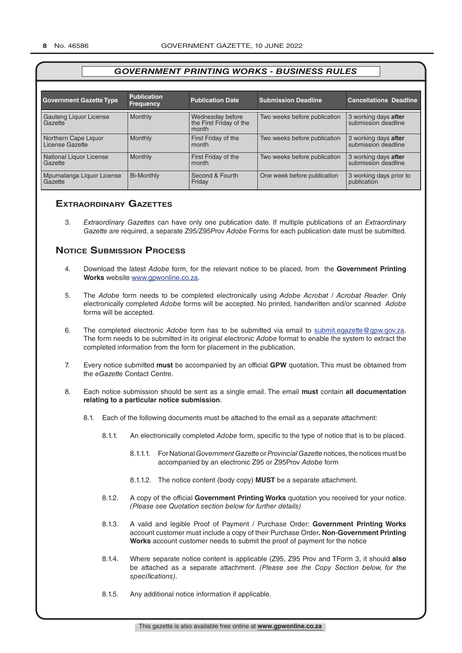| <b>Government Gazette Type</b>          | <b>Publication</b><br><b>Frequency</b> | <b>Publication Date</b>                              | <b>Submission Deadline</b>   | <b>Cancellations Deadline</b>               |
|-----------------------------------------|----------------------------------------|------------------------------------------------------|------------------------------|---------------------------------------------|
| Gauteng Liquor License<br>Gazette       | Monthly                                | Wednesday before<br>the First Friday of the<br>month | Two weeks before publication | 3 working days after<br>submission deadline |
| Northern Cape Liquor<br>License Gazette | Monthly                                | First Friday of the<br>month                         | Two weeks before publication | 3 working days after<br>submission deadline |
| National Liquor License<br>Gazette      | Monthly                                | First Friday of the<br>month                         | Two weeks before publication | 3 working days after<br>submission deadline |
| Mpumalanga Liquor License<br>Gazette    | <b>Bi-Monthly</b>                      | Second & Fourth<br>Friday                            | One week before publication  | 3 working days prior to<br>publication      |

#### **exTrAordinAry gAzeTTes**

3. *Extraordinary Gazettes* can have only one publication date. If multiple publications of an *Extraordinary Gazette* are required, a separate Z95/Z95Prov *Adobe* Forms for each publication date must be submitted.

#### **NOTICE SUBMISSION PROCESS**

- 4. Download the latest *Adobe* form, for the relevant notice to be placed, from the **Government Printing Works** website www.gpwonline.co.za.
- 5. The *Adobe* form needs to be completed electronically using *Adobe Acrobat* / *Acrobat Reader*. Only electronically completed *Adobe* forms will be accepted. No printed, handwritten and/or scanned *Adobe* forms will be accepted.
- 6. The completed electronic *Adobe* form has to be submitted via email to submit.egazette@gpw.gov.za. The form needs to be submitted in its original electronic *Adobe* format to enable the system to extract the completed information from the form for placement in the publication.
- 7. Every notice submitted **must** be accompanied by an official **GPW** quotation. This must be obtained from the *eGazette* Contact Centre.
- 8. Each notice submission should be sent as a single email. The email **must** contain **all documentation relating to a particular notice submission**.
	- 8.1. Each of the following documents must be attached to the email as a separate attachment:
		- 8.1.1. An electronically completed *Adobe* form, specific to the type of notice that is to be placed.
			- 8.1.1.1. For National *Government Gazette* or *Provincial Gazette* notices, the notices must be accompanied by an electronic Z95 or Z95Prov *Adobe* form
			- 8.1.1.2. The notice content (body copy) **MUST** be a separate attachment.
		- 8.1.2. A copy of the official **Government Printing Works** quotation you received for your notice. *(Please see Quotation section below for further details)*
		- 8.1.3. A valid and legible Proof of Payment / Purchase Order: **Government Printing Works** account customer must include a copy of their Purchase Order*.* **Non**-**Government Printing Works** account customer needs to submit the proof of payment for the notice
		- 8.1.4. Where separate notice content is applicable (Z95, Z95 Prov and TForm 3, it should **also** be attached as a separate attachment. *(Please see the Copy Section below, for the specifications)*.
		- 8.1.5. Any additional notice information if applicable.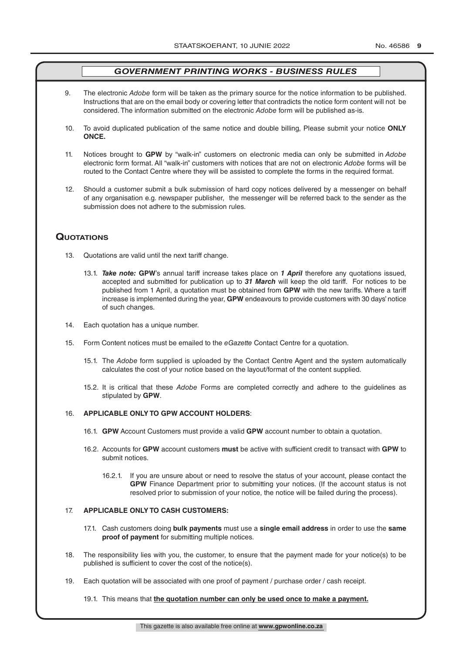- 9. The electronic *Adobe* form will be taken as the primary source for the notice information to be published. Instructions that are on the email body or covering letter that contradicts the notice form content will not be considered. The information submitted on the electronic *Adobe* form will be published as-is.
- 10. To avoid duplicated publication of the same notice and double billing, Please submit your notice **ONLY ONCE.**
- 11. Notices brought to **GPW** by "walk-in" customers on electronic media can only be submitted in *Adobe* electronic form format. All "walk-in" customers with notices that are not on electronic *Adobe* forms will be routed to the Contact Centre where they will be assisted to complete the forms in the required format.
- 12. Should a customer submit a bulk submission of hard copy notices delivered by a messenger on behalf of any organisation e.g. newspaper publisher, the messenger will be referred back to the sender as the submission does not adhere to the submission rules.

#### **QuoTATions**

- 13. Quotations are valid until the next tariff change.
	- 13.1. *Take note:* **GPW**'s annual tariff increase takes place on *1 April* therefore any quotations issued, accepted and submitted for publication up to *31 March* will keep the old tariff. For notices to be published from 1 April, a quotation must be obtained from **GPW** with the new tariffs. Where a tariff increase is implemented during the year, **GPW** endeavours to provide customers with 30 days' notice of such changes.
- 14. Each quotation has a unique number.
- 15. Form Content notices must be emailed to the *eGazette* Contact Centre for a quotation.
	- 15.1. The *Adobe* form supplied is uploaded by the Contact Centre Agent and the system automatically calculates the cost of your notice based on the layout/format of the content supplied.
	- 15.2. It is critical that these *Adobe* Forms are completed correctly and adhere to the guidelines as stipulated by **GPW**.

#### 16. **APPLICABLE ONLY TO GPW ACCOUNT HOLDERS**:

- 16.1. **GPW** Account Customers must provide a valid **GPW** account number to obtain a quotation.
- 16.2. Accounts for **GPW** account customers **must** be active with sufficient credit to transact with **GPW** to submit notices.
	- 16.2.1. If you are unsure about or need to resolve the status of your account, please contact the **GPW** Finance Department prior to submitting your notices. (If the account status is not resolved prior to submission of your notice, the notice will be failed during the process).

#### 17. **APPLICABLE ONLY TO CASH CUSTOMERS:**

- 17.1. Cash customers doing **bulk payments** must use a **single email address** in order to use the **same proof of payment** for submitting multiple notices.
- 18. The responsibility lies with you, the customer, to ensure that the payment made for your notice(s) to be published is sufficient to cover the cost of the notice(s).
- 19. Each quotation will be associated with one proof of payment / purchase order / cash receipt.
	- 19.1. This means that **the quotation number can only be used once to make a payment.**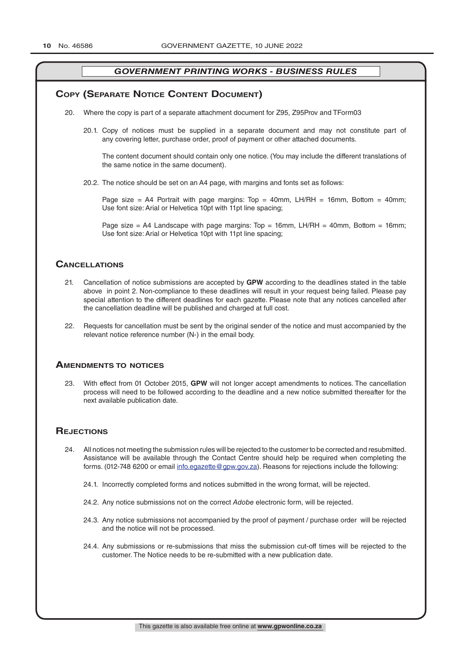#### **COPY (SEPARATE NOTICE CONTENT DOCUMENT)**

- 20. Where the copy is part of a separate attachment document for Z95, Z95Prov and TForm03
	- 20.1. Copy of notices must be supplied in a separate document and may not constitute part of any covering letter, purchase order, proof of payment or other attached documents.

The content document should contain only one notice. (You may include the different translations of the same notice in the same document).

20.2. The notice should be set on an A4 page, with margins and fonts set as follows:

Page size = A4 Portrait with page margins: Top = 40mm, LH/RH = 16mm, Bottom = 40mm; Use font size: Arial or Helvetica 10pt with 11pt line spacing;

Page size = A4 Landscape with page margins:  $Top = 16mm$ , LH/RH = 40mm, Bottom = 16mm; Use font size: Arial or Helvetica 10pt with 11pt line spacing;

#### **CAnCellATions**

- 21. Cancellation of notice submissions are accepted by **GPW** according to the deadlines stated in the table above in point 2. Non-compliance to these deadlines will result in your request being failed. Please pay special attention to the different deadlines for each gazette. Please note that any notices cancelled after the cancellation deadline will be published and charged at full cost.
- 22. Requests for cancellation must be sent by the original sender of the notice and must accompanied by the relevant notice reference number (N-) in the email body.

#### **AmendmenTs To noTiCes**

23. With effect from 01 October 2015, **GPW** will not longer accept amendments to notices. The cancellation process will need to be followed according to the deadline and a new notice submitted thereafter for the next available publication date.

#### **REJECTIONS**

- 24. All notices not meeting the submission rules will be rejected to the customer to be corrected and resubmitted. Assistance will be available through the Contact Centre should help be required when completing the forms. (012-748 6200 or email info.egazette@gpw.gov.za). Reasons for rejections include the following:
	- 24.1. Incorrectly completed forms and notices submitted in the wrong format, will be rejected.
	- 24.2. Any notice submissions not on the correct *Adobe* electronic form, will be rejected.
	- 24.3. Any notice submissions not accompanied by the proof of payment / purchase order will be rejected and the notice will not be processed.
	- 24.4. Any submissions or re-submissions that miss the submission cut-off times will be rejected to the customer. The Notice needs to be re-submitted with a new publication date.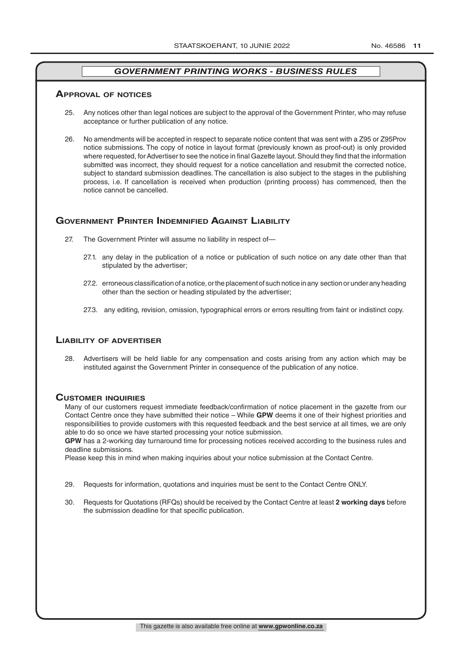#### **ApprovAl of noTiCes**

- 25. Any notices other than legal notices are subject to the approval of the Government Printer, who may refuse acceptance or further publication of any notice.
- 26. No amendments will be accepted in respect to separate notice content that was sent with a Z95 or Z95Prov notice submissions. The copy of notice in layout format (previously known as proof-out) is only provided where requested, for Advertiser to see the notice in final Gazette layout. Should they find that the information submitted was incorrect, they should request for a notice cancellation and resubmit the corrected notice, subject to standard submission deadlines. The cancellation is also subject to the stages in the publishing process, i.e. If cancellation is received when production (printing process) has commenced, then the notice cannot be cancelled.

#### **governmenT prinTer indemnified AgAinsT liAbiliTy**

- 27. The Government Printer will assume no liability in respect of—
	- 27.1. any delay in the publication of a notice or publication of such notice on any date other than that stipulated by the advertiser;
	- 27.2. erroneous classification of a notice, or the placement of such notice in any section or under any heading other than the section or heading stipulated by the advertiser;
	- 27.3. any editing, revision, omission, typographical errors or errors resulting from faint or indistinct copy.

#### **liAbiliTy of AdverTiser**

28. Advertisers will be held liable for any compensation and costs arising from any action which may be instituted against the Government Printer in consequence of the publication of any notice.

#### **CusTomer inQuiries**

Many of our customers request immediate feedback/confirmation of notice placement in the gazette from our Contact Centre once they have submitted their notice – While **GPW** deems it one of their highest priorities and responsibilities to provide customers with this requested feedback and the best service at all times, we are only able to do so once we have started processing your notice submission.

**GPW** has a 2-working day turnaround time for processing notices received according to the business rules and deadline submissions.

Please keep this in mind when making inquiries about your notice submission at the Contact Centre.

- 29. Requests for information, quotations and inquiries must be sent to the Contact Centre ONLY.
- 30. Requests for Quotations (RFQs) should be received by the Contact Centre at least **2 working days** before the submission deadline for that specific publication.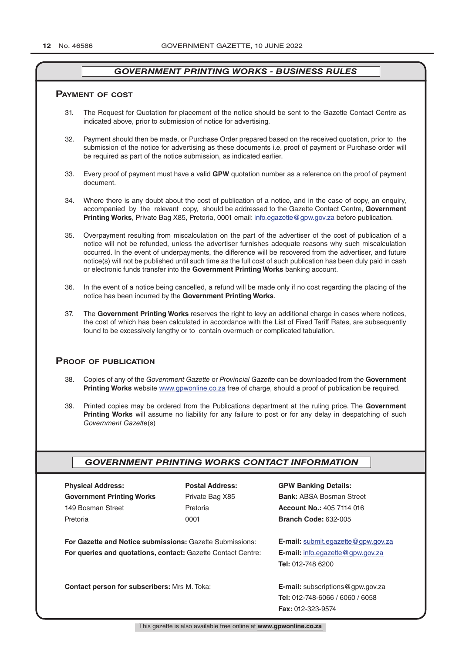#### **pAymenT of CosT**

- 31. The Request for Quotation for placement of the notice should be sent to the Gazette Contact Centre as indicated above, prior to submission of notice for advertising.
- 32. Payment should then be made, or Purchase Order prepared based on the received quotation, prior to the submission of the notice for advertising as these documents i.e. proof of payment or Purchase order will be required as part of the notice submission, as indicated earlier.
- 33. Every proof of payment must have a valid **GPW** quotation number as a reference on the proof of payment document.
- 34. Where there is any doubt about the cost of publication of a notice, and in the case of copy, an enquiry, accompanied by the relevant copy, should be addressed to the Gazette Contact Centre, **Government Printing Works**, Private Bag X85, Pretoria, 0001 email: info.egazette@gpw.gov.za before publication.
- 35. Overpayment resulting from miscalculation on the part of the advertiser of the cost of publication of a notice will not be refunded, unless the advertiser furnishes adequate reasons why such miscalculation occurred. In the event of underpayments, the difference will be recovered from the advertiser, and future notice(s) will not be published until such time as the full cost of such publication has been duly paid in cash or electronic funds transfer into the **Government Printing Works** banking account.
- 36. In the event of a notice being cancelled, a refund will be made only if no cost regarding the placing of the notice has been incurred by the **Government Printing Works**.
- 37. The **Government Printing Works** reserves the right to levy an additional charge in cases where notices, the cost of which has been calculated in accordance with the List of Fixed Tariff Rates, are subsequently found to be excessively lengthy or to contain overmuch or complicated tabulation.

#### **proof of publiCATion**

- 38. Copies of any of the *Government Gazette* or *Provincial Gazette* can be downloaded from the **Government Printing Works** website www.gpwonline.co.za free of charge, should a proof of publication be required.
- 39. Printed copies may be ordered from the Publications department at the ruling price. The **Government Printing Works** will assume no liability for any failure to post or for any delay in despatching of such *Government Gazette*(s)

#### *GOVERNMENT PRINTING WORKS CONTACT INFORMATION*

| <b>Physical Address:</b>                                            | <b>Postal Address:</b>                    | <b>GPW Banking Details:</b>             |  |
|---------------------------------------------------------------------|-------------------------------------------|-----------------------------------------|--|
| <b>Government Printing Works</b>                                    | Private Bag X85                           | <b>Bank: ABSA Bosman Street</b>         |  |
| 149 Bosman Street                                                   | Pretoria                                  | <b>Account No.: 405 7114 016</b>        |  |
| Pretoria                                                            | 0001                                      | <b>Branch Code: 632-005</b>             |  |
|                                                                     |                                           |                                         |  |
| For Gazette and Notice submissions: Gazette Submissions:            | <b>E-mail:</b> submit.egazette@gpw.gov.za |                                         |  |
| <b>For queries and quotations, contact: Gazette Contact Centre:</b> |                                           | <b>E-mail:</b> info.egazette@gpw.gov.za |  |
|                                                                     |                                           | <b>Tel: 012-748 6200</b>                |  |
|                                                                     |                                           |                                         |  |
| <b>Contact person for subscribers: Mrs M. Toka:</b>                 |                                           | <b>E-mail:</b> subscriptions@gpw.gov.za |  |
|                                                                     |                                           | <b>Tel: 012-748-6066 / 6060 / 6058</b>  |  |
|                                                                     |                                           | <b>Fax: 012-323-9574</b>                |  |
|                                                                     |                                           |                                         |  |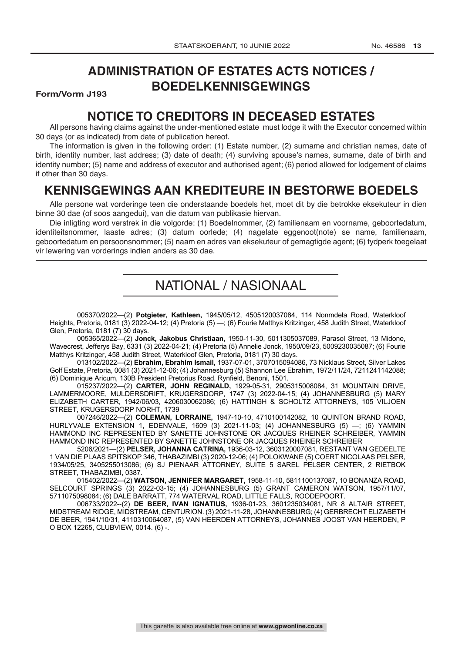## **ADMINISTRATION OF ESTATES ACTS NOTICES / BOEDELKENNISGEWINGS**

**Form/Vorm J193** 

## **NOTICE TO CREDITORS IN DECEASED ESTATES**

All persons having claims against the under-mentioned estate must lodge it with the Executor concerned within 30 days (or as indicated) from date of publication hereof.

The information is given in the following order: (1) Estate number, (2) surname and christian names, date of birth, identity number, last address; (3) date of death; (4) surviving spouse's names, surname, date of birth and identity number; (5) name and address of executor and authorised agent; (6) period allowed for lodgement of claims if other than 30 days.

## **KENNISGEWINGS AAN KREDITEURE IN BESTORWE BOEDELS**

Alle persone wat vorderinge teen die onderstaande boedels het, moet dit by die betrokke eksekuteur in dien binne 30 dae (of soos aangedui), van die datum van publikasie hiervan.

Die inligting word verstrek in die volgorde: (1) Boedelnommer, (2) familienaam en voorname, geboortedatum, identiteitsnommer, laaste adres; (3) datum oorlede; (4) nagelate eggenoot(note) se name, familienaam, geboortedatum en persoonsnommer; (5) naam en adres van eksekuteur of gemagtigde agent; (6) tydperk toegelaat vir lewering van vorderings indien anders as 30 dae.

## NATIONAL / NASIONAAL

005370/2022—(2) **Potgieter, Kathleen,** 1945/05/12, 4505120037084, 114 Nonmdela Road, Waterkloof Heights, Pretoria, 0181 (3) 2022-04-12; (4) Pretoria (5) —; (6) Fourie Matthys Kritzinger, 458 Judith Street, Waterkloof Glen, Pretoria, 0181 (7) 30 days.

005365/2022—(2) **Jonck, Jakobus Christiaan,** 1950-11-30, 5011305037089, Parasol Street, 13 Midone, Wavecrest, Jefferys Bay, 6331 (3) 2022-04-21; (4) Pretoria (5) Annelie Jonck, 1950/09/23, 5009230035087; (6) Fourie Matthys Kritzinger, 458 Judith Street, Waterkloof Glen, Pretoria, 0181 (7) 30 days.

013102/2022—(2) **Ebrahim, Ebrahim Ismail,** 1937-07-01, 3707015094086, 73 Nicklaus Street, Silver Lakes Golf Estate, Pretoria, 0081 (3) 2021-12-06; (4) Johannesburg (5) Shannon Lee Ebrahim, 1972/11/24, 7211241142088; (6) Dominique Aricum, 130B President Pretorius Road, Rynfield, Benoni, 1501.

015237/2022—(2) **CARTER, JOHN REGINALD,** 1929-05-31, 2905315008084, 31 MOUNTAIN DRIVE, LAMMERMOORE, MULDERSDRIFT, KRUGERSDORP, 1747 (3) 2022-04-15; (4) JOHANNESBURG (5) MARY ELIZABETH CARTER, 1942/06/03, 4206030062086; (6) HATTINGH & SCHOLTZ ATTORNEYS, 105 VILJOEN STREET, KRUGERSDORP NORHT, 1739

007246/2022—(2) **COLEMAN, LORRAINE,** 1947-10-10, 4710100142082, 10 QUINTON BRAND ROAD, HURLYVALE EXTENSION 1, EDENVALE, 1609 (3) 2021-11-03; (4) JOHANNESBURG (5) —; (6) YAMMIN HAMMOND INC REPRESENTED BY SANETTE JOHNSTONE OR JACQUES RHEINER SCHREIBER, YAMMIN HAMMOND INC REPRESENTED BY SANETTE JOHNSTONE OR JACQUES RHEINER SCHREIBER

5206/2021—(2) **PELSER, JOHANNA CATRINA,** 1936-03-12, 3603120007081, RESTANT VAN GEDEELTE 1 VAN DIE PLAAS SPITSKOP 346, THABAZIMBI (3) 2020-12-06; (4) POLOKWANE (5) COERT NICOLAAS PELSER, 1934/05/25, 3405255013086; (6) SJ PIENAAR ATTORNEY, SUITE 5 SAREL PELSER CENTER, 2 RIETBOK STREET, THABAZIMBI, 0387.

015402/2022—(2) **WATSON, JENNIFER MARGARET,** 1958-11-10, 5811100137087, 10 BONANZA ROAD, SELCOURT SPRINGS (3) 2022-03-15; (4) JOHANNESBURG (5) GRANT CAMERON WATSON, 1957/11/07, 5711075098084; (6) DALE BARRATT, 774 WATERVAL ROAD, LITTLE FALLS, ROODEPOORT.

006733/2022--(2) **DE BEER, IVAN IGNATIUS,** 1936-01-23, 3601235034081, NR 8 ALTAIR STREET, MIDSTREAM RIDGE, MIDSTREAM, CENTURION. (3) 2021-11-28, JOHANNESBURG; (4) GERBRECHT ELIZABETH DE BEER, 1941/10/31, 4110310064087, (5) VAN HEERDEN ATTORNEYS, JOHANNES JOOST VAN HEERDEN, P O BOX 12265, CLUBVIEW, 0014. (6) -.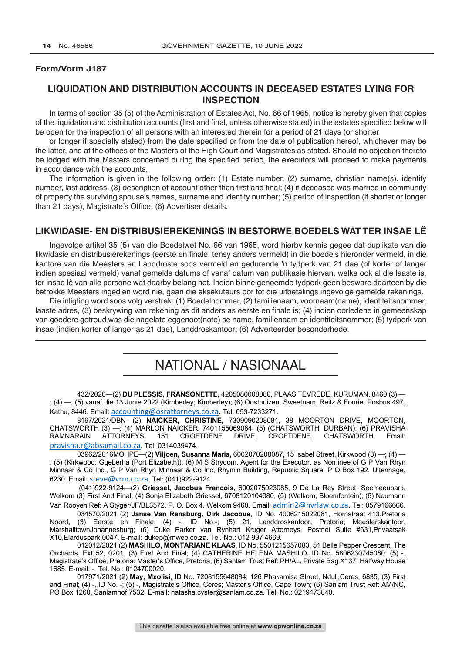#### **Form/Vorm J187**

### **LIQUIDATION AND DISTRIBUTION ACCOUNTS IN DECEASED ESTATES LYING FOR INSPECTION**

In terms of section 35 (5) of the Administration of Estates Act, No. 66 of 1965, notice is hereby given that copies of the liquidation and distribution accounts (first and final, unless otherwise stated) in the estates specified below will be open for the inspection of all persons with an interested therein for a period of 21 days (or shorter

or longer if specially stated) from the date specified or from the date of publication hereof, whichever may be the latter, and at the offices of the Masters of the High Court and Magistrates as stated. Should no objection thereto be lodged with the Masters concerned during the specified period, the executors will proceed to make payments in accordance with the accounts.

The information is given in the following order: (1) Estate number, (2) surname, christian name(s), identity number, last address, (3) description of account other than first and final; (4) if deceased was married in community of property the surviving spouse's names, surname and identity number; (5) period of inspection (if shorter or longer than 21 days), Magistrate's Office; (6) Advertiser details.

#### **LIKWIDASIE- EN DISTRIBUSIEREKENINGS IN BESTORWE BOEDELS WAT TER INSAE LÊ**

Ingevolge artikel 35 (5) van die Boedelwet No. 66 van 1965, word hierby kennis gegee dat duplikate van die likwidasie en distribusierekenings (eerste en finale, tensy anders vermeld) in die boedels hieronder vermeld, in die kantore van die Meesters en Landdroste soos vermeld en gedurende 'n tydperk van 21 dae (of korter of langer indien spesiaal vermeld) vanaf gemelde datums of vanaf datum van publikasie hiervan, welke ook al die laaste is, ter insae lê van alle persone wat daarby belang het. Indien binne genoemde tydperk geen besware daarteen by die betrokke Meesters ingedien word nie, gaan die eksekuteurs oor tot die uitbetalings ingevolge gemelde rekenings.

Die inligting word soos volg verstrek: (1) Boedelnommer, (2) familienaam, voornaam(name), identiteitsnommer, laaste adres, (3) beskrywing van rekening as dit anders as eerste en finale is; (4) indien oorledene in gemeenskap van goedere getroud was die nagelate eggenoot(note) se name, familienaam en identiteitsnommer; (5) tydperk van insae (indien korter of langer as 21 dae), Landdroskantoor; (6) Adverteerder besonderhede.

## NATIONAL / NASIONAAL

432/2020—(2) **DU PLESSIS, FRANSONETTE,** 4205080008080, PLAAS TEVREDE, KURUMAN, 8460 (3) — ; (4) —; (5) vanaf die 13 Junie 2022 (Kimberley; Kimberley); (6) Oosthuizen, Sweetnam, Reitz & Fourie, Posbus 497, Kathu, 8446. Email: accounting@osrattorneys.co.za. Tel: 053-7233271.

8197/2021/DBN—(2) **NAICKER, CHRISTINE,** 7309090208081, 38 MOORTON DRIVE, MOORTON, CHATSWORTH (3) —; (4) MARLON NAICKER, 7401155069084; (5) (CHATSWORTH; DURBAN); (6) PRAVISHA 151 CROFTDENE DRIVE, CROFTDENE, CHATSWORTH. pravisha.r@absamail.co.za. Tel: 0314039474.

03962/2016MOHPE—(2) **Viljoen, Susanna Maria,** 6002070208087, 15 Isabel Street, Kirkwood (3) —; (4) — ; (5) (Kirkwood; Gqeberha (Port Elizabeth)); (6) M S Strydom, Agent for the Executor, as Nominee of G P Van Rhyn Minnaar & Co Inc., G P Van Rhyn Minnaar & Co Inc, Rhymin Building, Republic Square, P O Box 192, Uitenhage, 6230. Email: steve@vrm.co.za. Tel: (041)922-9124

(041)922-9124—(2) **Griessel, Jacobus Francois,** 6002075023085, 9 De La Rey Street, Seemeeupark, Welkom (3) First And Final; (4) Sonja Elizabeth Griessel, 6708120104080; (5) (Welkom; Bloemfontein); (6) Neumann Van Rooyen Ref: A Styger/JF/BL3572, P. O. Box 4, Welkom 9460. Email: admin2@nvrlaw.co.za. Tel: 0579166666.

034570/2021 (2) **Janse Van Rensburg, Dirk Jacobus**, ID No. 4006215022081, Hornstraat 413,Pretoria Noord, (3) Eerste en Finale; (4) -, ID No.-; (5) 21, Landdroskantoor, Pretoria; Meesterskantoor, MarshalltownJohannesburg; (6) Duke Parker van Rynhart Kruger Attorneys, Postnet Suite #631,Privaatsak X10,Elarduspark,0047. E-mail: dukep@mweb.co.za. Tel. No.: 012 997 4669.

012012/2021 (2) **MASHILO, MONTARIANE KLAAS**, ID No. 5501215657083, 51 Belle Pepper Crescent, The Orchards, Ext 52, 0201, (3) First And Final; (4) CATHERINE HELENA MASHILO, ID No. 5806230745080; (5) -, Magistrate's Office, Pretoria; Master's Office, Pretoria; (6) Sanlam Trust Ref: PH/AL, Private Bag X137, Halfway House 1685. E-mail: -. Tel. No.: 0124700020.

017971/2021 (2) **May, Mxolisi**, ID No. 7208155648084, 126 Phakamisa Street, Nduli,Ceres, 6835, (3) First and Final; (4) -, ID No. -; (5) -, Magistrate's Office, Ceres; Master's Office, Cape Town; (6) Sanlam Trust Ref: AM/NC, PO Box 1260, Sanlamhof 7532. E-mail: natasha.cyster@sanlam.co.za. Tel. No.: 0219473840.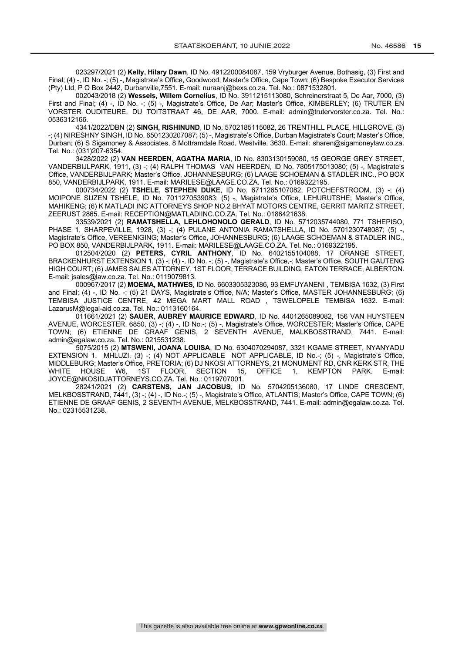023297/2021 (2) **Kelly, Hilary Dawn**, ID No. 4912200084087, 159 Vryburger Avenue, Bothasig, (3) First and Final; (4) -, ID No. -; (5) -, Magistrate's Office, Goodwood; Master's Office, Cape Town; (6) Bespoke Executor Services (Pty) Ltd, P O Box 2442, Durbanville,7551. E-mail: nuraanj@bexs.co.za. Tel. No.: 0871532801.

002043/2018 (2) **Wessels, Willem Cornelius**, ID No. 3911215113080, Schreinerstraat 5, De Aar, 7000, (3) First and Final; (4) -, ID No. -; (5) -, Magistrate's Office, De Aar; Master's Office, KIMBERLEY; (6) TRUTER EN VORSTER OUDITEURE, DU TOITSTRAAT 46, DE AAR, 7000. E-mail: admin@trutervorster.co.za. Tel. No.: 0536312166.

4341/2022/DBN (2) **SINGH, RISHINUND**, ID No. 5702185115082, 26 TRENTHILL PLACE, HILLGROVE, (3) -; (4) NIRESHNY SINGH, ID No. 6501230207087; (5) -, Magistrate's Office, Durban Magistrate's Court; Master's Office, Durban; (6) S Sigamoney & Associates, 8 Mottramdale Road, Westville, 3630. E-mail: sharen@sigamoneylaw.co.za. Tel. No.: (031)207-6354.

3428/2022 (2) **VAN HEERDEN, AGATHA MARIA**, ID No. 8303130159080, 15 GEORGE GREY STREET, VANDERBIJLPARK, 1911, (3) -; (4) RALPH THOMAS VAN HEERDEN, ID No. 7805175013080; (5) -, Magistrate's Office, VANDERBIJLPARK; Master's Office, JOHANNESBURG; (6) LAAGE SCHOEMAN & STADLER INC., PO BOX 850, VANDERBIJLPARK, 1911. E-mail: MARILESE@LAAGE.CO.ZA. Tel. No.: 0169322195.

000734/2022 (2) **TSHELE, STEPHEN DUKE**, ID No. 6711265107082, POTCHEFSTROOM, (3) -; (4) MOIPONE SUZEN TSHELE, ID No. 7011270539083; (5) -, Magistrate's Office, LEHURUTSHE; Master's Office, MAHIKENG; (6) K MATLADI INC ATTORNEYS SHOP NO.2 BHYAT MOTORS CENTRE, GERRIT MARITZ STREET, ZEERUST 2865. E-mail: RECEPTION@MATLADIINC.CO.ZA. Tel. No.: 0186421638.

33539/2021 (2) **RAMATSHELLA, LEHLOHONOLO GERALD**, ID No. 5712035744080, 771 TSHEPISO, PHASE 1, SHARPEVILLE, 1928, (3) -; (4) PULANE ANTONIA RAMATSHELLA, ID No. 5701230748087; (5) -, Magistrate's Office, VEREENIGING; Master's Office, JOHANNESBURG; (6) LAAGE SCHOEMAN & STADLER INC., PO BOX 850, VANDERBIJLPARK, 1911. E-mail: MARILESE@LAAGE.CO.ZA. Tel. No.: 0169322195.

012504/2020 (2) **PETERS, CYRIL ANTHONY**, ID No. 6402155104088, 17 ORANGE STREET, BRACKENHURST EXTENSION 1, (3) -; (4) -, ID No. -; (5) -, Magistrate's Office,-; Master's Office, SOUTH GAUTENG HIGH COURT; (6) JAMES SALES ATTORNEY, 1ST FLOOR, TERRACE BUILDING, EATON TERRACE, ALBERTON. E-mail: jsales@law.co.za. Tel. No.: 0119079813.

000967/2017 (2) **MOEMA, MATHWES**, ID No. 6603305323086, 93 EMFUYANENI , TEMBISA 1632, (3) First and Final; (4) -, ID No. -; (5) 21 DAYS, Magistrate's Office, N/A; Master's Office, MASTER JOHANNESBURG; (6) TEMBISA JUSTICE CENTRE, 42 MEGA MART MALL ROAD , TSWELOPELE TEMBISA 1632. E-mail: LazarusM@legal-aid.co.za. Tel. No.: 0113160164.

011661/2021 (2) **SAUER, AUBREY MAURICE EDWARD**, ID No. 4401265089082, 156 VAN HUYSTEEN AVENUE, WORCESTER, 6850, (3) -; (4) -, ID No.-; (5) -, Magistrate's Office, WORCESTER; Master's Office, CAPE TOWN; (6) ETIENNE DE GRAAF GENIS, 2 SEVENTH AVENUE, MALKBOSSTRAND, 7441. E-mail: admin@egalaw.co.za. Tel. No.: 0215531238.

5075/2015 (2) **MTSWENI, JOANA LOUISA**, ID No. 6304070294087, 3321 KGAME STREET, NYANYADU EXTENSION 1, MHLUZI, (3) -; (4) NOT APPLICABLE NOT APPLICABLE, ID No.-; (5) -, Magistrate's Office, MIDDLEBURG; Master's Office, PRETORIA; (6) DJ NKOSI ATTORNEYS, 21 MONUMENT RD, CNR KERK STR, THE WHITE HOUSE W6, 1ST FLOOR, SECTION 15, OFFICE 1, KEMPTON PARK. E-mail: JOYCE@NKOSIDJATTORNEYS.CO.ZA. Tel. No.: 0119707001.

28241/2021 (2) **CARSTENS, JAN JACOBUS**, ID No. 5704205136080, 17 LINDE CRESCENT, MELKBOSSTRAND, 7441, (3) -; (4) -, ID No.-; (5) -, Magistrate's Office, ATLANTIS; Master's Office, CAPE TOWN; (6) ETIENNE DE GRAAF GENIS, 2 SEVENTH AVENUE, MELKBOSSTRAND, 7441. E-mail: admin@egalaw.co.za. Tel. No.: 02315531238.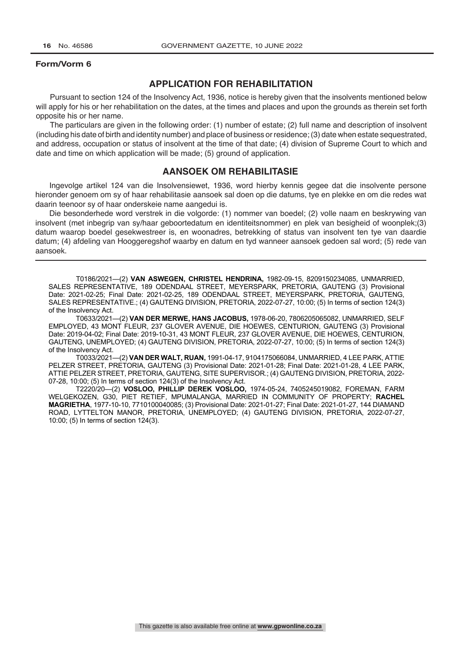#### **Form/Vorm 6**

### **APPLICATION FOR REHABILITATION**

Pursuant to section 124 of the Insolvency Act, 1936, notice is hereby given that the insolvents mentioned below will apply for his or her rehabilitation on the dates, at the times and places and upon the grounds as therein set forth opposite his or her name.

The particulars are given in the following order: (1) number of estate; (2) full name and description of insolvent (including his date of birth and identity number) and place of business or residence; (3) date when estate sequestrated, and address, occupation or status of insolvent at the time of that date; (4) division of Supreme Court to which and date and time on which application will be made; (5) ground of application.

#### **AANSOEK OM REHABILITASIE**

Ingevolge artikel 124 van die Insolvensiewet, 1936, word hierby kennis gegee dat die insolvente persone hieronder genoem om sy of haar rehabilitasie aansoek sal doen op die datums, tye en plekke en om die redes wat daarin teenoor sy of haar onderskeie name aangedui is.

Die besonderhede word verstrek in die volgorde: (1) nommer van boedel; (2) volle naam en beskrywing van insolvent (met inbegrip van sy/haar geboortedatum en identiteitsnommer) en plek van besigheid of woonplek;(3) datum waarop boedel gesekwestreer is, en woonadres, betrekking of status van insolvent ten tye van daardie datum; (4) afdeling van Hooggeregshof waarby en datum en tyd wanneer aansoek gedoen sal word; (5) rede van aansoek.

T0186/2021—(2) **VAN ASWEGEN, CHRISTEL HENDRINA,** 1982-09-15, 8209150234085, UNMARRIED, SALES REPRESENTATIVE, 189 ODENDAAL STREET, MEYERSPARK, PRETORIA, GAUTENG (3) Provisional Date: 2021-02-25; Final Date: 2021-02-25, 189 ODENDAAL STREET, MEYERSPARK, PRETORIA, GAUTENG, SALES REPRESENTATIVE.; (4) GAUTENG DIVISION, PRETORIA, 2022-07-27, 10:00; (5) In terms of section 124(3) of the Insolvency Act.

T0633/2021—(2) **VAN DER MERWE, HANS JACOBUS,** 1978-06-20, 7806205065082, UNMARRIED, SELF EMPLOYED, 43 MONT FLEUR, 237 GLOVER AVENUE, DIE HOEWES, CENTURION, GAUTENG (3) Provisional Date: 2019-04-02; Final Date: 2019-10-31, 43 MONT FLEUR, 237 GLOVER AVENUE, DIE HOEWES, CENTURION, GAUTENG, UNEMPLOYED; (4) GAUTENG DIVISION, PRETORIA, 2022-07-27, 10:00; (5) In terms of section 124(3) of the Insolvency Act.

T0033/2021—(2) **VAN DER WALT, RUAN,** 1991-04-17, 9104175066084, UNMARRIED, 4 LEE PARK, ATTIE PELZER STREET, PRETORIA, GAUTENG (3) Provisional Date: 2021-01-28; Final Date: 2021-01-28, 4 LEE PARK, ATTIE PELZER STREET, PRETORIA, GAUTENG, SITE SUPERVISOR.; (4) GAUTENG DIVISION, PRETORIA, 2022- 07-28, 10:00; (5) In terms of section 124(3) of the Insolvency Act.

T2220/20—(2) **VOSLOO, PHILLIP DEREK VOSLOO,** 1974-05-24, 7405245019082, FOREMAN, FARM WELGEKOZEN, G30, PIET RETIEF, MPUMALANGA, MARRIED IN COMMUNITY OF PROPERTY; **RACHEL MAGRIETHA**, 1977-10-10, 7710100040085; (3) Provisional Date: 2021-01-27; Final Date: 2021-01-27, 144 DIAMAND ROAD, LYTTELTON MANOR, PRETORIA, UNEMPLOYED; (4) GAUTENG DIVISION, PRETORIA, 2022-07-27, 10:00; (5) In terms of section 124(3).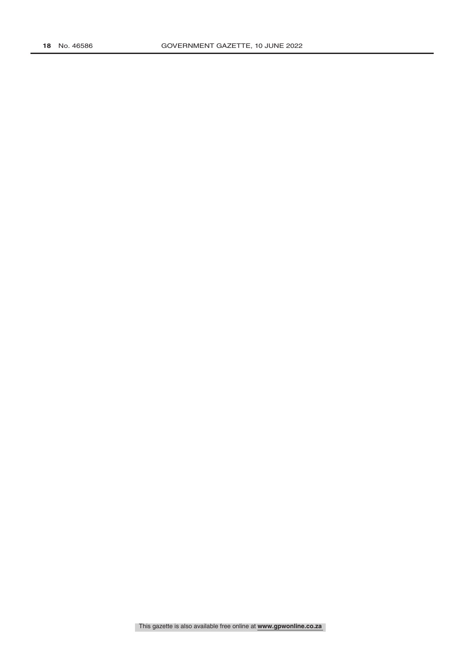This gazette is also available free online at **www.gpwonline.co.za**